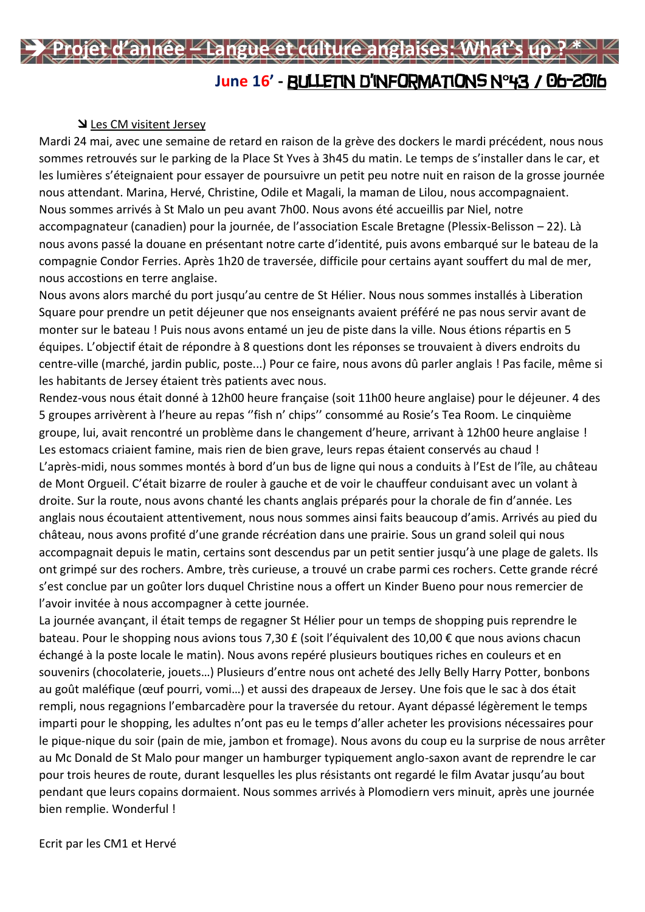## **June 16' -** Bulletin d'informations n°43 / 06-2016 **Projet d'année – Langue et culture anglaises: What's up ? \***

## Les CM visitent Jersey

Mardi 24 mai, avec une semaine de retard en raison de la grève des dockers le mardi précédent, nous nous sommes retrouvés sur le parking de la Place St Yves à 3h45 du matin. Le temps de s'installer dans le car, et les lumières s'éteignaient pour essayer de poursuivre un petit peu notre nuit en raison de la grosse journée nous attendant. Marina, Hervé, Christine, Odile et Magali, la maman de Lilou, nous accompagnaient. Nous sommes arrivés à St Malo un peu avant 7h00. Nous avons été accueillis par Niel, notre accompagnateur (canadien) pour la journée, de l'association Escale Bretagne (Plessix-Belisson – 22). Là nous avons passé la douane en présentant notre carte d'identité, puis avons embarqué sur le bateau de la compagnie Condor Ferries. Après 1h20 de traversée, difficile pour certains ayant souffert du mal de mer, nous accostions en terre anglaise.

Nous avons alors marché du port jusqu'au centre de St Hélier. Nous nous sommes installés à Liberation Square pour prendre un petit déjeuner que nos enseignants avaient préféré ne pas nous servir avant de monter sur le bateau ! Puis nous avons entamé un jeu de piste dans la ville. Nous étions répartis en 5 équipes. L'objectif était de répondre à 8 questions dont les réponses se trouvaient à divers endroits du centre-ville (marché, jardin public, poste...) Pour ce faire, nous avons dû parler anglais ! Pas facile, même si les habitants de Jersey étaient très patients avec nous.

Rendez-vous nous était donné à 12h00 heure française (soit 11h00 heure anglaise) pour le déjeuner. 4 des 5 groupes arrivèrent à l'heure au repas ''fish n' chips'' consommé au Rosie's Tea Room. Le cinquième groupe, lui, avait rencontré un problème dans le changement d'heure, arrivant à 12h00 heure anglaise ! Les estomacs criaient famine, mais rien de bien grave, leurs repas étaient conservés au chaud ! L'après-midi, nous sommes montés à bord d'un bus de ligne qui nous a conduits à l'Est de l'île, au château de Mont Orgueil. C'était bizarre de rouler à gauche et de voir le chauffeur conduisant avec un volant à droite. Sur la route, nous avons chanté les chants anglais préparés pour la chorale de fin d'année. Les anglais nous écoutaient attentivement, nous nous sommes ainsi faits beaucoup d'amis. Arrivés au pied du château, nous avons profité d'une grande récréation dans une prairie. Sous un grand soleil qui nous accompagnait depuis le matin, certains sont descendus par un petit sentier jusqu'à une plage de galets. Ils ont grimpé sur des rochers. Ambre, très curieuse, a trouvé un crabe parmi ces rochers. Cette grande récré s'est conclue par un goûter lors duquel Christine nous a offert un Kinder Bueno pour nous remercier de l'avoir invitée à nous accompagner à cette journée.

La journée avançant, il était temps de regagner St Hélier pour un temps de shopping puis reprendre le bateau. Pour le shopping nous avions tous 7,30 £ (soit l'équivalent des 10,00 € que nous avions chacun échangé à la poste locale le matin). Nous avons repéré plusieurs boutiques riches en couleurs et en souvenirs (chocolaterie, jouets…) Plusieurs d'entre nous ont acheté des Jelly Belly Harry Potter, bonbons au goût maléfique (œuf pourri, vomi…) et aussi des drapeaux de Jersey. Une fois que le sac à dos était rempli, nous regagnions l'embarcadère pour la traversée du retour. Ayant dépassé légèrement le temps imparti pour le shopping, les adultes n'ont pas eu le temps d'aller acheter les provisions nécessaires pour le pique-nique du soir (pain de mie, jambon et fromage). Nous avons du coup eu la surprise de nous arrêter au Mc Donald de St Malo pour manger un hamburger typiquement anglo-saxon avant de reprendre le car pour trois heures de route, durant lesquelles les plus résistants ont regardé le film Avatar jusqu'au bout pendant que leurs copains dormaient. Nous sommes arrivés à Plomodiern vers minuit, après une journée bien remplie. Wonderful !

Ecrit par les CM1 et Hervé